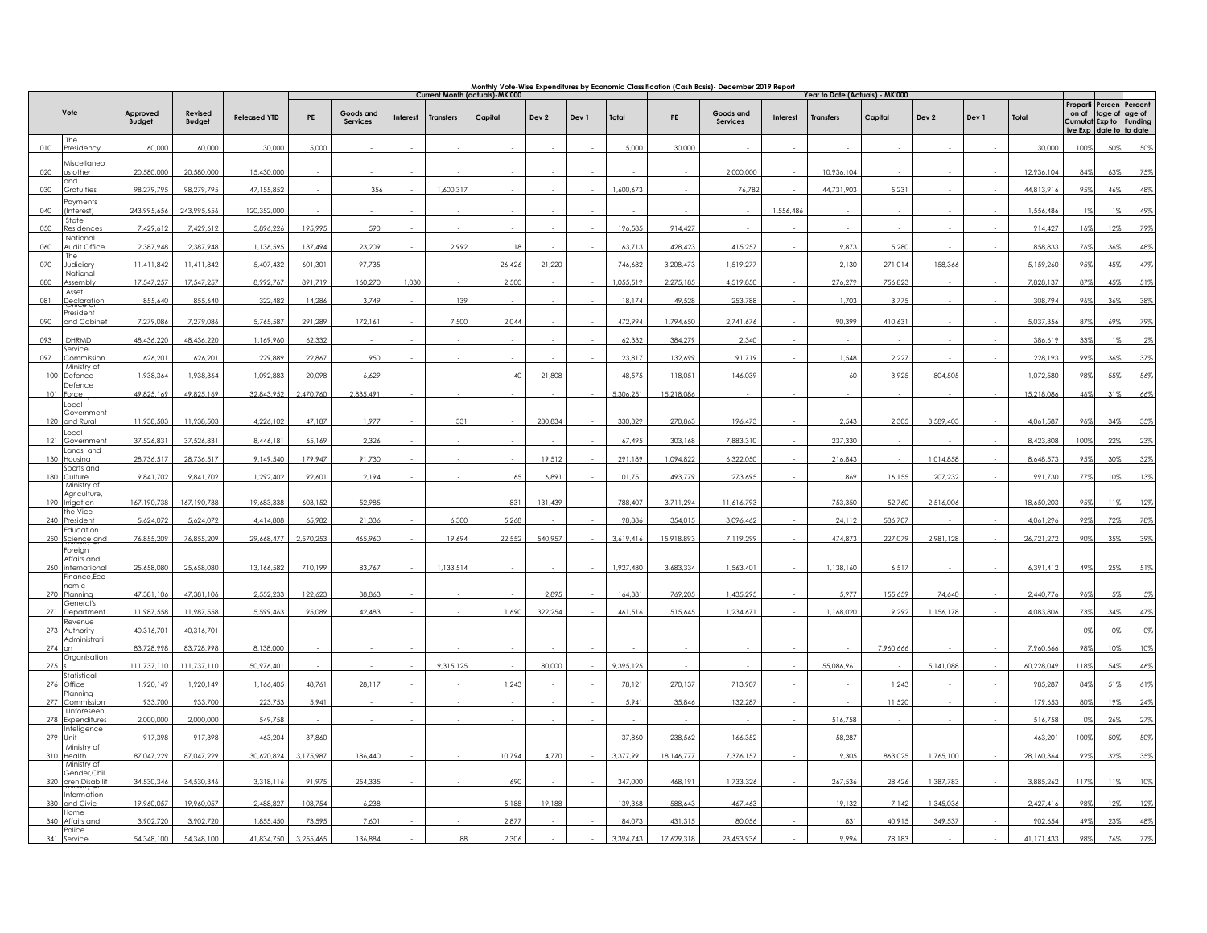|       |                                       | <u>Monthly Vote-Wise Expenditures by Economic Classification (Cash Basis)- December 2019 Report</u><br>Current Month (actuals)-MK'000<br>Year to Date (Actuals) - MK'000 |                          |                     |           |                       |                 |                  |         |         |       |           |            |                              |                 |                  |           |           |       |            |                              |                                                                               |                |
|-------|---------------------------------------|--------------------------------------------------------------------------------------------------------------------------------------------------------------------------|--------------------------|---------------------|-----------|-----------------------|-----------------|------------------|---------|---------|-------|-----------|------------|------------------------------|-----------------|------------------|-----------|-----------|-------|------------|------------------------------|-------------------------------------------------------------------------------|----------------|
|       | Vote                                  | Approved<br><b>Budaet</b>                                                                                                                                                | Revised<br><b>Budaet</b> | <b>Released YTD</b> | PE        | Goods and<br>Services | <b>Interest</b> | <b>Transfers</b> | Capital | Dev 2   | Dev 1 | Total     | PE         | Goods and<br><b>Services</b> | <b>Interest</b> | <b>Transfers</b> | Capital   | Dev 2     | Dev 1 | Total      | Proporti<br>on of<br>ive Exp | Percen Percent<br>tage of age of<br>Cumulat Exp to Funding<br>date to to date |                |
| 010   | <b>The</b><br>Presidency              | 60,000                                                                                                                                                                   | 60,000                   | 30,000              | 5,000     |                       |                 |                  |         |         |       | 5,000     | 30,000     |                              |                 |                  |           |           |       | 30,000     | 100%                         | 50%                                                                           | 50%            |
| 020   | Miscellanec<br>us other               | 20,580,000                                                                                                                                                               | 20,580,000               | 15,430,000          |           |                       |                 |                  |         |         |       |           |            | 2,000,000                    |                 | 10,936,104       |           |           |       | 12,936,104 | 84%                          | 63%                                                                           | 75%            |
|       | and                                   |                                                                                                                                                                          |                          |                     |           |                       |                 |                  |         |         |       |           |            |                              |                 |                  |           |           |       |            |                              |                                                                               |                |
| 030   | Gratuities<br>Payments                | 98,279,795                                                                                                                                                               | 98,279,795               | 47,155,852          |           | 356                   |                 | 1,600,317        |         |         |       | 1.600.673 |            | 76,782                       |                 | 44,731,903       | 5,23      |           |       | 44,813,916 | 95%                          | 46%                                                                           | 48%            |
| (140) | Interest)<br>State                    | 243,995,656                                                                                                                                                              | 243,995,656              | 120,352,000         |           |                       |                 |                  |         |         |       |           |            |                              | 1,556,486       |                  |           |           |       | 1,556,486  | 19                           | 1%                                                                            | 49%            |
| 0.50  | Residence<br>National                 | 7,429,612                                                                                                                                                                | 7,429,612                | 5,896,226           | 195,995   | 590                   |                 |                  |         |         |       | 196,585   | 914.427    |                              |                 |                  |           |           |       | 914,427    | 16%                          | 12%                                                                           | 79%            |
| 060   | Audit Office<br>The                   | 2,387,948                                                                                                                                                                | 2,387,948                | 1,136,595           | 137,494   | 23,209                |                 | 2,992            | 18      |         |       | 163,713   | 428,423    | 415,257                      |                 | 9,873            | 5,280     |           |       | 858,833    | 76%                          | 36%                                                                           | 48%            |
| 070   | ludiciary                             | 11,411,842                                                                                                                                                               | 11,411,842               | 5,407,432           | 601,301   | 97,735                |                 |                  | 26,426  | 21,220  |       | 746,682   | 3,208,473  | 1,519,277                    |                 | 2,130            | 271,014   | 158,366   |       | 5,159,260  | 95%                          | 45%                                                                           | 47%            |
|       | National<br>Assembly                  | 17,547,257                                                                                                                                                               | 17,547,257               | 8,992,767           | 891,719   | 160,270               | 1,030           |                  | 2,500   |         |       | 1,055,519 | 2,275,185  | 4,519,850                    |                 | 276,279          | 756,823   |           |       | 7,828,137  | 879                          |                                                                               | 519            |
| 081   | Asset<br>Declaration                  | 855,640                                                                                                                                                                  | 855,640                  | 322,482             | 14,286    | 3,749                 |                 | 139              |         |         |       | 18,174    | 49,528     | 253,788                      |                 | 1,703            | 3,775     |           |       | 308,794    | 96%                          | 36%                                                                           | 38%            |
| 090   | President<br>and Cabine               | 7,279,086                                                                                                                                                                | 7,279,086                | 5,765,587           | 291,289   | 172,161               |                 | 7,500            | 2,044   |         |       | 472,994   | 1,794,650  | 2,741,676                    |                 | 90,399           | 410,631   |           |       | 5,037,356  | 87%                          | 69%                                                                           | 79%            |
| 093   | DHRMD                                 | 48,436,220                                                                                                                                                               | 48,436,220               | 1,169,960           | 62,332    |                       |                 |                  |         |         |       | 62,332    | 384,279    | 2,340                        |                 |                  |           |           |       | 386,619    | 339                          | $1\%$                                                                         | 2 <sup>9</sup> |
| 097   | Service<br>Commissio                  | 626,201                                                                                                                                                                  | 626,201                  | 229,889             | 22,867    | 950                   |                 |                  |         |         |       | 23,817    | 132,699    | 91.719                       |                 | 1,548            | 2,227     |           |       | 228,193    | 99%                          | 36%                                                                           | 37%            |
| 100   | Ministry of<br>Defence                | 1,938,364                                                                                                                                                                | 1,938,364                | 1,092,883           | 20,098    | 6,629                 |                 |                  | 40      | 21,808  |       | 48,575    | 118,051    | 146,039                      |                 | 60               | 3,925     | 804,505   |       | 1,072,580  | 98%                          | 55%                                                                           | 56%            |
| 101   | Defence<br>orce                       | 49,825,169                                                                                                                                                               | 49,825,169               | 32,843,952          | 2,470,760 | 2,835,491             |                 |                  |         |         |       | 5,306,251 | 15,218,086 |                              |                 |                  |           |           |       | 15,218,086 | 46%                          | 31%                                                                           | 66%            |
|       | Local                                 |                                                                                                                                                                          |                          |                     |           |                       |                 |                  |         |         |       |           |            |                              |                 |                  |           |           |       |            |                              |                                                                               |                |
|       | Governmen<br>120 and Rural            | 11,938,503                                                                                                                                                               | 11,938,503               | 4,226,102           | 47,187    | 1,977                 |                 | 331              |         | 280,834 |       | 330,329   | 270,863    | 196,473                      |                 | 2,543            | 2,305     | 3,589,403 |       | 4,061,587  | 96%                          | 34%                                                                           | 35%            |
| 121   | Local<br>Governmer                    | 37,526,831                                                                                                                                                               | 37,526,831               | 8,446,181           | 65.169    | 2,326                 |                 |                  |         |         |       | 67,495    | 303.168    | 7,883,310                    |                 | 237.330          |           |           |       | 8,423,808  | 100%                         | 22%                                                                           | 23%            |
| 130   | Lands and<br>Housing                  | 28.736.517                                                                                                                                                               | 28.736.517               | 9.149.540           | 179.947   | 91.730                |                 |                  |         | 19,512  |       | 291.189   | 1,094,822  | 6,322,050                    |                 | 216,843          |           | 1.014.858 |       | 8.648.573  | 95%                          | 30%                                                                           | 32%            |
| 180   | Sports and<br>Culture                 | 9,841,702                                                                                                                                                                | 9,841,702                | 1,292,402           | 92,601    | 2,194                 |                 |                  | 65      | 6,891   |       | 101,751   | 493,779    | 273,695                      |                 | 869              | 16,155    | 207,232   |       | 991,730    | 779                          | 10%                                                                           | 13%            |
|       | Ministry of<br>Agriculture,           |                                                                                                                                                                          |                          |                     |           |                       |                 |                  |         |         |       |           |            |                              |                 |                  |           |           |       |            |                              |                                                                               |                |
| 190   | Irrigation<br>the Vice                | 167, 190, 738                                                                                                                                                            | 167,190,738              | 19,683,338          | 603,152   | 52,985                |                 |                  | 831     | 131,439 |       | 788,407   | 3,711,294  | 11,616,793                   |                 | 753,350          | 52,760    | 2,516,006 |       | 18,650,203 | 95%                          | 11%                                                                           | 12%            |
| 240   | President                             | 5,624,072                                                                                                                                                                | 5,624,072                | 4,414,808           | 65,982    | 21,336                |                 | 6,300            | 5,268   |         |       | 98,886    | 354,015    | 3,096,462                    |                 | 24,112           | 586,707   |           |       | 4,061,296  | 92%                          | 72%                                                                           | 78%            |
| 250   | Education<br>Science and              | 76,855,209                                                                                                                                                               | 76,855,209               | 29,668,477          | 2,570,253 | 465,960               |                 | 19,694           | 22,552  | 540,957 |       | 3,619,416 | 15,918,893 | 7,119,299                    |                 | 474,873          | 227,079   | 2,981,128 |       | 26,721,272 | 90%                          | 35%                                                                           | 39%            |
|       | Foreign<br>Affairs and                |                                                                                                                                                                          |                          |                     |           |                       |                 |                  |         |         |       |           |            |                              |                 |                  |           |           |       |            |                              |                                                                               |                |
|       | 260 internationa                      | 25.658.080                                                                                                                                                               | 25.658.080               | 13.166.582          | 710.199   | 83,767                |                 | 1.133.514        |         |         |       | 1.927.480 | 3.683.334  | 1.563.401                    |                 | 1.138.160        | 6,517     |           |       | 6.391.412  | 49%                          | 25%                                                                           | 51%            |
|       | Finance,Eco<br>nomic:<br>270 Planning | 47,381,106                                                                                                                                                               | 47,381,106               | 2,552,233           | 122,623   | 38,863                |                 |                  |         | 2,895   |       | 164,381   | 769,205    | 1,435,295                    |                 | 5,977            | 155,659   | 74,640    |       | 2,440,776  | 96%                          | 5%                                                                            | 5%             |
| 271   | General's<br>Departmer                | 11,987,558                                                                                                                                                               | 11,987,558               | 5,599,463           | 95,089    | 42,483                |                 |                  | 1,690   | 322,254 |       | 461,516   | 515,645    | 1,234,671                    |                 | 1,168,020        | 9,292     | 1,156,178 |       | 4,083,806  | 73%                          | 34%                                                                           | 47%            |
|       | Revenue<br>273 Authority              | 40,316,701                                                                                                                                                               | 40,316,701               |                     |           |                       |                 |                  |         |         |       |           |            |                              |                 |                  |           |           |       |            |                              | 0%                                                                            | 0%             |
|       | Administrat                           |                                                                                                                                                                          |                          |                     |           |                       |                 |                  |         |         |       |           |            |                              |                 |                  |           |           |       |            | 98%                          |                                                                               |                |
|       | $274$ on<br>Organisation              | 83,728,998<br>111,737,110                                                                                                                                                | 83,728,998               | 8,138,000           |           |                       |                 | 9,315,125        |         |         |       |           |            |                              |                 |                  | 7,960,666 | 5,141,088 |       | 7,960,666  |                              | 10%                                                                           | 10%            |
| 275   | Statistical                           |                                                                                                                                                                          | 111,737,110              | 50,976,401          |           |                       |                 |                  |         | 80,000  |       | 9,395,125 |            |                              |                 | 55,086,961       |           |           |       | 60,228,049 | 118%                         | 54%                                                                           | 46%            |
| 276   | Office<br>Planning                    | 1,920,149                                                                                                                                                                | 1,920,149                | 1,166,405           | 48,761    | 28,117                |                 |                  | 1,243   |         |       | 78,121    | 270,137    | 713,907                      |                 |                  | 1,243     |           |       | 985,287    | 84%                          | 51%                                                                           | 61%            |
| 277   | Commission<br>Unforeseen              | 933,700                                                                                                                                                                  | 933,700                  | 223,753             | 5,941     |                       |                 |                  |         |         |       | 5,941     | 35,846     | 132,287                      |                 |                  | 11,520    |           |       | 179,653    | 80%                          | 19%                                                                           | 24%            |
|       | 278 Expenditures<br>Inteligence       | 2,000,000                                                                                                                                                                | 2,000,000                | 549,758             |           |                       |                 |                  |         |         |       |           |            |                              |                 | 516,758          |           |           |       | 516,758    | 0 <sup>9</sup>               | 26%                                                                           | 27%            |
|       | 279 Unit<br>Ministry of               | 917,398                                                                                                                                                                  | 917.398                  | 463,204             | 37,860    |                       |                 |                  |         |         |       | 37,860    | 238.562    | 166.352                      |                 | 58,287           |           |           |       | 463.201    | 100%                         | 50%                                                                           | 50%            |
|       | 310 Health<br>Ministry of             | 87,047,229                                                                                                                                                               | 87,047,229               | 30,620,824          | 3.175.987 | 186,440               |                 |                  | 10,794  | 4,770   |       | 3.377.991 | 18.146.777 | 7,376,157                    |                 | 9,305            | 863,025   | 1.765.100 |       | 28,160,364 | 92%                          | 32%                                                                           | 35%            |
|       | Gender, Chil<br>320 dren, Disabili    | 34,530,346                                                                                                                                                               | 34,530,346               | 3,318,116           | 91,975    | 254,335               |                 |                  | 690     |         |       | 347,000   | 468,191    | 1,733,326                    |                 | 267,536          | 28,426    | 1,387,783 |       | 3,885,262  | 117%                         | 11%                                                                           | 10%            |
|       | Information<br>330 and Civic          | 19,960,057                                                                                                                                                               | 19,960,057               | 2,488,827           | 108,754   | 6,238                 |                 |                  | 5,188   | 19,188  |       | 139,368   | 588,643    | 467,463                      |                 | 19,132           | 7,142     | 1,345,036 |       | 2,427,416  | 98%                          | 12%                                                                           | 12%            |
|       | Home<br>340 Affairs and               | 3,902,720                                                                                                                                                                | 3,902,720                | 1,855,450           | 73,595    | 7,601                 |                 |                  | 2,877   |         |       | 84,073    | 431,315    | 80,056                       |                 | 831              | 40,915    | 349,537   |       | 902,654    | 49%                          | 23%                                                                           | 48%            |
|       | Police<br>341 Service                 | 54,348,100                                                                                                                                                               | 54,348,100               | 41,834,750          | 3.255.465 | 136,884               |                 |                  | 2,306   |         |       | 3,394,743 | 17,629,318 | 23,453,936                   |                 | 9,996            | 78,183    |           |       | 41,171,433 | 989                          |                                                                               |                |
|       |                                       |                                                                                                                                                                          |                          |                     |           |                       |                 |                  |         |         |       |           |            |                              |                 |                  |           |           |       |            |                              |                                                                               |                |